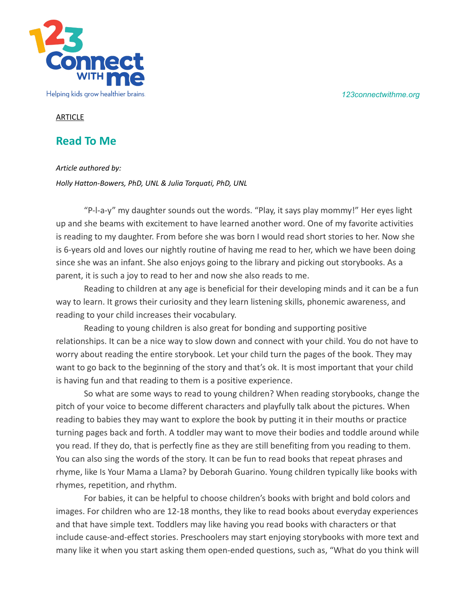*123connectwithme.org*



## **ARTICLE**

## **Read To Me**

*Article authored by:*

*Holly Hatton-Bowers, PhD, UNL & Julia Torquati, PhD, UNL*

"P-l-a-y" my daughter sounds out the words. "Play, it says play mommy!" Her eyes light up and she beams with excitement to have learned another word. One of my favorite activities is reading to my daughter. From before she was born I would read short stories to her. Now she is 6-years old and loves our nightly routine of having me read to her, which we have been doing since she was an infant. She also enjoys going to the library and picking out storybooks. As a parent, it is such a joy to read to her and now she also reads to me.

Reading to children at any age is beneficial for their developing minds and it can be a fun way to learn. It grows their curiosity and they learn listening skills, phonemic awareness, and reading to your child increases their vocabulary.

Reading to young children is also great for bonding and supporting positive relationships. It can be a nice way to slow down and connect with your child. You do not have to worry about reading the entire storybook. Let your child turn the pages of the book. They may want to go back to the beginning of the story and that's ok. It is most important that your child is having fun and that reading to them is a positive experience.

So what are some ways to read to young children? When reading storybooks, change the pitch of your voice to become different characters and playfully talk about the pictures. When reading to babies they may want to explore the book by putting it in their mouths or practice turning pages back and forth. A toddler may want to move their bodies and toddle around while you read. If they do, that is perfectly fine as they are still benefiting from you reading to them. You can also sing the words of the story. It can be fun to read books that repeat phrases and rhyme, like Is Your Mama a Llama? by Deborah Guarino. Young children typically like books with rhymes, repetition, and rhythm.

For babies, it can be helpful to choose children's books with bright and bold colors and images. For children who are 12-18 months, they like to read books about everyday experiences and that have simple text. Toddlers may like having you read books with characters or that include cause-and-effect stories. Preschoolers may start enjoying storybooks with more text and many like it when you start asking them open-ended questions, such as, "What do you think will